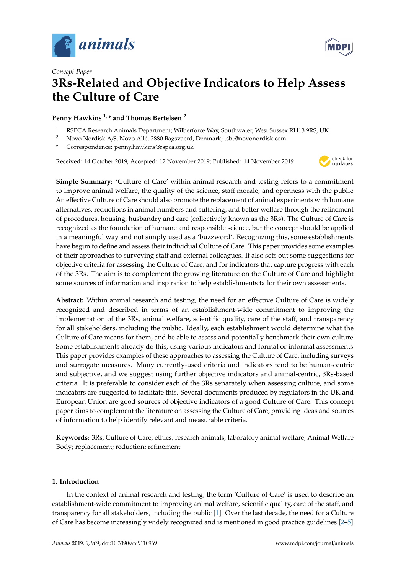



# *Concept Paper* **3Rs-Related and Objective Indicators to Help Assess the Culture of Care**

# **Penny Hawkins 1,\* and Thomas Bertelsen <sup>2</sup>**

- <sup>1</sup> RSPCA Research Animals Department; Wilberforce Way, Southwater, West Sussex RH13 9RS, UK
- <sup>2</sup> Novo Nordisk A/S, Novo Allé, 2880 Bagsvaerd, Denmark; tsbt@novonordisk.com
- **\*** Correspondence: penny.hawkins@rspca.org.uk

Received: 14 October 2019; Accepted: 12 November 2019; Published: 14 November 2019



**Simple Summary:** 'Culture of Care' within animal research and testing refers to a commitment to improve animal welfare, the quality of the science, staff morale, and openness with the public. An effective Culture of Care should also promote the replacement of animal experiments with humane alternatives, reductions in animal numbers and suffering, and better welfare through the refinement of procedures, housing, husbandry and care (collectively known as the 3Rs). The Culture of Care is recognized as the foundation of humane and responsible science, but the concept should be applied in a meaningful way and not simply used as a 'buzzword'. Recognizing this, some establishments have begun to define and assess their individual Culture of Care. This paper provides some examples of their approaches to surveying staff and external colleagues. It also sets out some suggestions for objective criteria for assessing the Culture of Care, and for indicators that capture progress with each of the 3Rs. The aim is to complement the growing literature on the Culture of Care and highlight some sources of information and inspiration to help establishments tailor their own assessments.

**Abstract:** Within animal research and testing, the need for an effective Culture of Care is widely recognized and described in terms of an establishment-wide commitment to improving the implementation of the 3Rs, animal welfare, scientific quality, care of the staff, and transparency for all stakeholders, including the public. Ideally, each establishment would determine what the Culture of Care means for them, and be able to assess and potentially benchmark their own culture. Some establishments already do this, using various indicators and formal or informal assessments. This paper provides examples of these approaches to assessing the Culture of Care, including surveys and surrogate measures. Many currently-used criteria and indicators tend to be human-centric and subjective, and we suggest using further objective indicators and animal-centric, 3Rs-based criteria. It is preferable to consider each of the 3Rs separately when assessing culture, and some indicators are suggested to facilitate this. Several documents produced by regulators in the UK and European Union are good sources of objective indicators of a good Culture of Care. This concept paper aims to complement the literature on assessing the Culture of Care, providing ideas and sources of information to help identify relevant and measurable criteria.

**Keywords:** 3Rs; Culture of Care; ethics; research animals; laboratory animal welfare; Animal Welfare Body; replacement; reduction; refinement

### **1. Introduction**

In the context of animal research and testing, the term 'Culture of Care' is used to describe an establishment-wide commitment to improving animal welfare, scientific quality, care of the staff, and transparency for all stakeholders, including the public [\[1\]](#page-5-0). Over the last decade, the need for a Culture of Care has become increasingly widely recognized and is mentioned in good practice guidelines [\[2–](#page-5-1)[5\]](#page-5-2).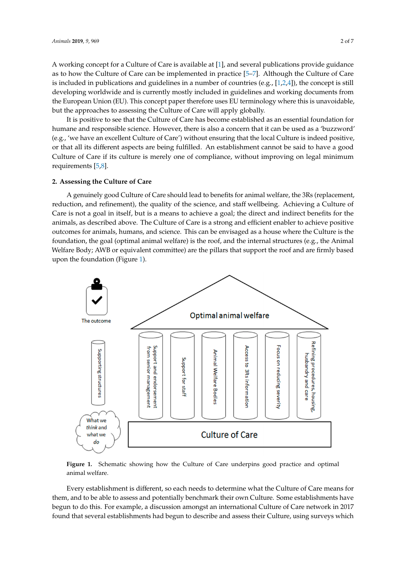A working concept for a Culture of Care is available at [\[1\]](#page-5-0), and several publications provide guidance as to how the Culture of Care can be implemented in practice  $[5-7]$  $[5-7]$ . Although the Culture of Care is included in publications and guidelines in a number of countries (e.g., [\[1](#page-5-0)[,2](#page-5-1)[,4\]](#page-5-4)), the concept is still developing worldwide and is currently mostly included in guidelines and working documents from the European Union (EU). This concept paper therefore uses EU terminology where this is unavoidable, but the approaches to assessing the Culture of Care will apply globally.

It is positive to see that the Culture of Care has become established as an essential foundation for humane and responsible science. However, there is also a concern that it can be used as a 'buzzword' (e.g., 'we have an excellent Culture of Care') without ensuring that the local Culture is indeed positive, or that all its different aspects are being fulfilled. An establishment cannot be said to have a good Culture of Care if its culture is merely one of compliance, without improving on legal minimum requirements [\[5,](#page-5-2)[8\]](#page-5-5).

# **2. Assessing the Culture of Care 2. Assessing the Culture of Care**

A genuinely good Culture of Care should lead to benefits for animal welfare, the 3Rs (replacement, A genuinely good Culture of Care should lead to benefits for animal welfare, the 3Rs reduction, and refinement), the quality of the science, and staff wellbeing. Achieving a Culture of Care is not a goal in itself, but is a means to achieve a goal; the direct and indirect benefits for the  $\overline{\phantom{a}}$ animals, as described above. The Culture of Care is a strong and efficient enabler to achieve positive outcomes for animals, humans, and science. This can be envisaged as a house where the Culture is the foundation, the goal (optimal animal welfare) is the roof, and the internal structures (e.g., the Animal  $\sim$ Welfare Body; AWB or equivalent committee) are the pillars that support the roof and are firmly based upon the foundation (Figure [1\)](#page-1-0).

<span id="page-1-0"></span>

**Figure 1.**  $\frac{1}{2}$  **showing how the Culture of Culture of Care underpins good practice and optimal animal welfare. Figure 1.** Schematic showing how the Culture of Care underpins good practice and optimal

them, and to be able to assess and potentially benchmark their own Culture. Some establishments have begun to do this. For example, a discussion amongst an international Culture of Care network in 2017 found that several establishments had begun to describe and assess their Culture, using surveys which Every establishment is different, so each needs to determine what the Culture of Care means for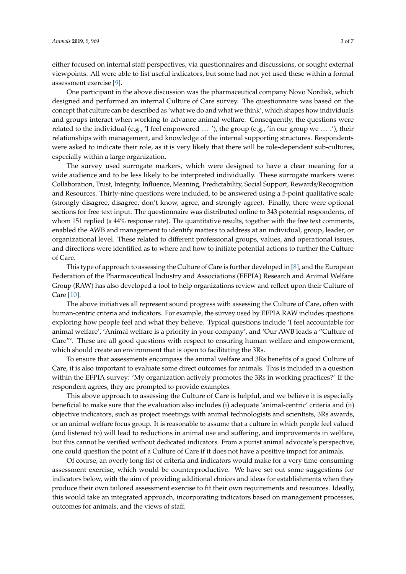either focused on internal staff perspectives, via questionnaires and discussions, or sought external viewpoints. All were able to list useful indicators, but some had not yet used these within a formal assessment exercise [\[9\]](#page-5-6).

One participant in the above discussion was the pharmaceutical company Novo Nordisk, which designed and performed an internal Culture of Care survey. The questionnaire was based on the concept that culture can be described as 'what we do and what we think', which shapes how individuals and groups interact when working to advance animal welfare. Consequently, the questions were related to the individual (e.g., 'I feel empowered . . . '), the group (e.g., 'in our group we . . . .'), their relationships with management, and knowledge of the internal supporting structures. Respondents were asked to indicate their role, as it is very likely that there will be role-dependent sub-cultures, especially within a large organization.

The survey used surrogate markers, which were designed to have a clear meaning for a wide audience and to be less likely to be interpreted individually. These surrogate markers were: Collaboration, Trust, Integrity, Influence, Meaning, Predictability, Social Support, Rewards/Recognition and Resources. Thirty-nine questions were included, to be answered using a 5-point qualitative scale (strongly disagree, disagree, don't know, agree, and strongly agree). Finally, there were optional sections for free text input. The questionnaire was distributed online to 343 potential respondents, of whom 151 replied (a 44% response rate). The quantitative results, together with the free text comments, enabled the AWB and management to identify matters to address at an individual, group, leader, or organizational level. These related to different professional groups, values, and operational issues, and directions were identified as to where and how to initiate potential actions to further the Culture of Care.

This type of approach to assessing the Culture of Care is further developed in [\[8\]](#page-5-5), and the European Federation of the Pharmaceutical Industry and Associations (EFPIA) Research and Animal Welfare Group (RAW) has also developed a tool to help organizations review and reflect upon their Culture of Care [\[10\]](#page-5-7).

The above initiatives all represent sound progress with assessing the Culture of Care, often with human-centric criteria and indicators. For example, the survey used by EFPIA RAW includes questions exploring how people feel and what they believe. Typical questions include 'I feel accountable for animal welfare', 'Animal welfare is a priority in your company', and 'Our AWB leads a "Culture of Care"'. These are all good questions with respect to ensuring human welfare and empowerment, which should create an environment that is open to facilitating the 3Rs.

To ensure that assessments encompass the animal welfare and 3Rs benefits of a good Culture of Care, it is also important to evaluate some direct outcomes for animals. This is included in a question within the EFPIA survey: 'My organization actively promotes the 3Rs in working practices?' If the respondent agrees, they are prompted to provide examples.

This above approach to assessing the Culture of Care is helpful, and we believe it is especially beneficial to make sure that the evaluation also includes (i) adequate 'animal-centric' criteria and (ii) objective indicators, such as project meetings with animal technologists and scientists, 3Rs awards, or an animal welfare focus group. It is reasonable to assume that a culture in which people feel valued (and listened to) will lead to reductions in animal use and suffering, and improvements in welfare, but this cannot be verified without dedicated indicators. From a purist animal advocate's perspective, one could question the point of a Culture of Care if it does not have a positive impact for animals.

Of course, an overly long list of criteria and indicators would make for a very time-consuming assessment exercise, which would be counterproductive. We have set out some suggestions for indicators below, with the aim of providing additional choices and ideas for establishments when they produce their own tailored assessment exercise to fit their own requirements and resources. Ideally, this would take an integrated approach, incorporating indicators based on management processes, outcomes for animals, and the views of staff.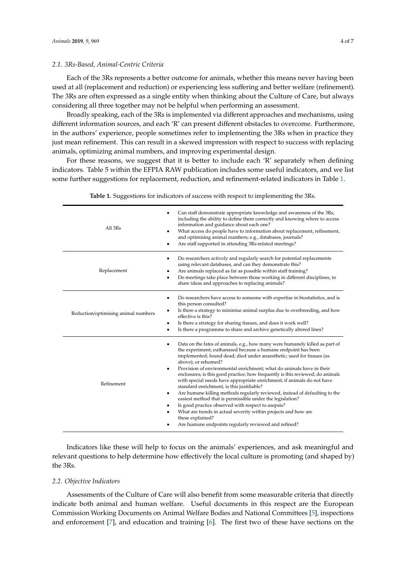#### *2.1. 3Rs-Based, Animal-Centric Criteria*

Each of the 3Rs represents a better outcome for animals, whether this means never having been used at all (replacement and reduction) or experiencing less suffering and better welfare (refinement). The 3Rs are often expressed as a single entity when thinking about the Culture of Care, but always considering all three together may not be helpful when performing an assessment.

Broadly speaking, each of the 3Rs is implemented via different approaches and mechanisms, using different information sources, and each 'R' can present different obstacles to overcome. Furthermore, in the authors' experience, people sometimes refer to implementing the 3Rs when in practice they just mean refinement. This can result in a skewed impression with respect to success with replacing animals, optimizing animal numbers, and improving experimental design.

For these reasons, we suggest that it is better to include each 'R' separately when defining indicators. Table 5 within the EFPIA RAW publication includes some useful indicators, and we list some further suggestions for replacement, reduction, and refinement-related indicators in Table [1.](#page-3-0)

<span id="page-3-0"></span>

| All 3Rs                             | Can staff demonstrate appropriate knowledge and awareness of the 3Rs,<br>including the ability to define them correctly and knowing where to access<br>information and guidance about each one?<br>What access do people have to information about replacement, refinement,<br>٠<br>and optimising animal numbers; e.g., databases, journals?<br>Are staff supported in attending 3Rs-related meetings?<br>٠                                                                                                                                                                                                                                                                                                                                                                                                                                                                                  |  |
|-------------------------------------|-----------------------------------------------------------------------------------------------------------------------------------------------------------------------------------------------------------------------------------------------------------------------------------------------------------------------------------------------------------------------------------------------------------------------------------------------------------------------------------------------------------------------------------------------------------------------------------------------------------------------------------------------------------------------------------------------------------------------------------------------------------------------------------------------------------------------------------------------------------------------------------------------|--|
| Replacement                         | Do researchers actively and regularly search for potential replacements<br>٠<br>using relevant databases, and can they demonstrate this?<br>Are animals replaced as far as possible within staff training?<br>٠<br>Do meetings take place between those working in different disciplines, to<br>٠<br>share ideas and approaches to replacing animals?                                                                                                                                                                                                                                                                                                                                                                                                                                                                                                                                         |  |
| Reduction/optimising animal numbers | Do researchers have access to someone with expertise in biostatistics, and is<br>٠<br>this person consulted?<br>Is there a strategy to minimise animal surplus due to overbreeding, and how<br>٠<br>effective is this?<br>Is there a strategy for sharing tissues, and does it work well?<br>٠<br>Is there a programme to share and archive genetically altered lines?<br>٠                                                                                                                                                                                                                                                                                                                                                                                                                                                                                                                   |  |
| Refinement                          | Data on the fates of animals, e.g., how many were humanely killed as part of<br>٠<br>the experiment; euthanased because a humane endpoint has been<br>implemented; found dead; died under anaesthetic; used for tissues (as<br>above); or rehomed?<br>Provision of environmental enrichment; what do animals have in their<br>٠<br>enclosures; is this good practice; how frequently is this reviewed; do animals<br>with special needs have appropriate enrichment; if animals do not have<br>standard enrichment, is this justifiable?<br>Are humane killing methods regularly reviewed, instead of defaulting to the<br>٠<br>easiest method that is permissible under the legislation?<br>Is good practice observed with respect to asepsis?<br>What are trends in actual severity within projects and how are<br>these explained?<br>Are humane endpoints regularly reviewed and refined? |  |

**Table 1.** Suggestions for indicators of success with respect to implementing the 3Rs.

Indicators like these will help to focus on the animals' experiences, and ask meaningful and relevant questions to help determine how effectively the local culture is promoting (and shaped by) the 3Rs.

#### *2.2. Objective Indicators*

Assessments of the Culture of Care will also benefit from some measurable criteria that directly indicate both animal and human welfare. Useful documents in this respect are the European Commission Working Documents on Animal Welfare Bodies and National Committees [\[5\]](#page-5-2), inspections and enforcement [\[7\]](#page-5-3), and education and training [\[6\]](#page-5-8). The first two of these have sections on the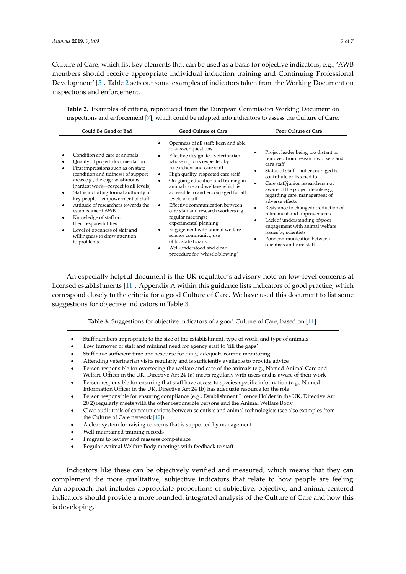Culture of Care, which list key elements that can be used as a basis for objective indicators, e.g., 'AWB members should receive appropriate individual induction training and Continuing Professional Development' [\[5\]](#page-5-2). Table [2](#page-4-0) sets out some examples of indicators taken from the Working Document on inspections and enforcement.

<span id="page-4-0"></span>**Table 2.** Examples of criteria, reproduced from the European Commission Working Document on inspections and enforcement [\[7\]](#page-5-3), which could be adapted into indicators to assess the Culture of Care.

| Could Be Good or Bad                                                                                                                                                                                                                                                                                                                                                                                                                                                                                 | <b>Good Culture of Care</b>                                                                                                                                                                                                                                                                                                                                                                                                                                                                                                                                                                                                        | <b>Poor Culture of Care</b>                                                                                                                                                                                                                                                                                                                                                                                                                                                                                                                                              |
|------------------------------------------------------------------------------------------------------------------------------------------------------------------------------------------------------------------------------------------------------------------------------------------------------------------------------------------------------------------------------------------------------------------------------------------------------------------------------------------------------|------------------------------------------------------------------------------------------------------------------------------------------------------------------------------------------------------------------------------------------------------------------------------------------------------------------------------------------------------------------------------------------------------------------------------------------------------------------------------------------------------------------------------------------------------------------------------------------------------------------------------------|--------------------------------------------------------------------------------------------------------------------------------------------------------------------------------------------------------------------------------------------------------------------------------------------------------------------------------------------------------------------------------------------------------------------------------------------------------------------------------------------------------------------------------------------------------------------------|
| Condition and care of animals<br>Quality of project documentation<br>First impressions such as on state<br>(condition and tidiness) of support<br>areas e.g., the cage washrooms<br>(hardest work-respect to all levels)<br>Status including formal authority of<br>key people—empowerment of staff<br>Attitude of researchers towards the<br>establishment AWB<br>Knowledge of staff on<br>their responsibilities<br>Level of openness of staff and<br>willingness to draw attention<br>to problems | Openness of all staff: keen and able<br>to answer questions<br>Effective designated veterinarian<br>whose input is respected by<br>researchers and care staff<br>High quality, respected care staff<br>$\bullet$<br>On-going education and training in<br>animal care and welfare which is<br>accessible to and encouraged for all<br>levels of staff<br>Effective communication between<br>care staff and research workers e.g.,<br>regular meetings;<br>experimental planning<br>Engagement with animal welfare<br>science community, use<br>of biostatisticians<br>Well-understood and clear<br>procedure for 'whistle-blowing' | Project leader being too distant or<br>removed from research workers and<br>care staff<br>Status of staff-not encouraged to<br>$\bullet$<br>contribute or listened to<br>Care staff/junior researchers not<br>$\bullet$<br>aware of the project details e.g.,<br>regarding care, management of<br>adverse effects<br>Resistance to change/introduction of<br>refinement and improvements<br>Lack of understanding of/poor<br>$\bullet$<br>engagement with animal welfare<br>issues by scientists<br>Poor communication between<br>$\bullet$<br>scientists and care staff |

An especially helpful document is the UK regulator's advisory note on low-level concerns at licensed establishments [\[11\]](#page-6-0). Appendix A within this guidance lists indicators of good practice, which correspond closely to the criteria for a good Culture of Care. We have used this document to list some suggestions for objective indicators in Table [3.](#page-4-1)

**Table 3.** Suggestions for objective indicators of a good Culture of Care, based on [\[11\]](#page-6-0).

- <span id="page-4-1"></span>• Staff numbers appropriate to the size of the establishment, type of work, and type of animals
- Low turnover of staff and minimal need for agency staff to 'fill the gaps'
- Staff have sufficient time and resource for daily, adequate routine monitoring
- Attending veterinarian visits regularly and is sufficiently available to provide advice
- Person responsible for overseeing the welfare and care of the animals (e.g., Named Animal Care and Welfare Officer in the UK, Directive Art 24 1a) meets regularly with users and is aware of their work
- Person responsible for ensuring that staff have access to species-specific information (e.g., Named Information Officer in the UK, Directive Art 24 1b) has adequate resource for the role
- Person responsible for ensuring compliance (e.g., Establishment Licence Holder in the UK, Directive Art 20 2) regularly meets with the other responsible persons and the Animal Welfare Body
- Clear audit trails of communications between scientists and animal technologists (see also examples from the Culture of Care network [\[12\]](#page-6-1))
- A clear system for raising concerns that is supported by management
- Well-maintained training records
- Program to review and reassess competence
- Regular Animal Welfare Body meetings with feedback to staff

Indicators like these can be objectively verified and measured, which means that they can complement the more qualitative, subjective indicators that relate to how people are feeling. An approach that includes appropriate proportions of subjective, objective, and animal-centered indicators should provide a more rounded, integrated analysis of the Culture of Care and how this is developing.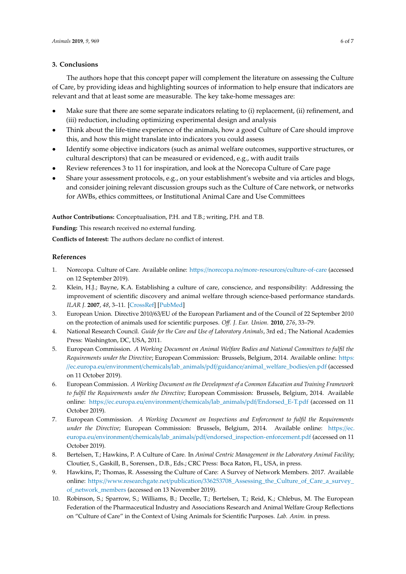# **3. Conclusions**

The authors hope that this concept paper will complement the literature on assessing the Culture of Care, by providing ideas and highlighting sources of information to help ensure that indicators are relevant and that at least some are measurable. The key take-home messages are:

- Make sure that there are some separate indicators relating to (i) replacement, (ii) refinement, and (iii) reduction, including optimizing experimental design and analysis
- Think about the life-time experience of the animals, how a good Culture of Care should improve this, and how this might translate into indicators you could assess
- Identify some objective indicators (such as animal welfare outcomes, supportive structures, or cultural descriptors) that can be measured or evidenced, e.g., with audit trails
- Review references 3 to 11 for inspiration, and look at the Norecopa Culture of Care page
- Share your assessment protocols, e.g., on your establishment's website and via articles and blogs, and consider joining relevant discussion groups such as the Culture of Care network, or networks for AWBs, ethics committees, or Institutional Animal Care and Use Committees

**Author Contributions:** Conceptualisation, P.H. and T.B.; writing, P.H. and T.B.

**Funding:** This research received no external funding.

**Conflicts of Interest:** The authors declare no conflict of interest.

## **References**

- <span id="page-5-0"></span>1. Norecopa. Culture of Care. Available online: https://norecopa.no/[more-resources](https://norecopa.no/more-resources/culture-of-care)/culture-of-care (accessed on 12 September 2019).
- <span id="page-5-1"></span>2. Klein, H.J.; Bayne, K.A. Establishing a culture of care, conscience, and responsibility: Addressing the improvement of scientific discovery and animal welfare through science-based performance standards. *ILAR J.* **2007**, *48*, 3–11. [\[CrossRef\]](http://dx.doi.org/10.1093/ilar.48.1.3) [\[PubMed\]](http://www.ncbi.nlm.nih.gov/pubmed/17170491)
- 3. European Union. Directive 2010/63/EU of the European Parliament and of the Council of 22 September 2010 on the protection of animals used for scientific purposes. *O*ff*. J. Eur. Union.* **2010**, *276*, 33–79.
- <span id="page-5-4"></span>4. National Research Council. *Guide for the Care and Use of Laboratory Animals*, 3rd ed.; The National Academies Press: Washington, DC, USA, 2011.
- <span id="page-5-2"></span>5. European Commission. *A Working Document on Animal Welfare Bodies and National Committees to fulfil the Requirements under the Directive*; European Commission: Brussels, Belgium, 2014. Available online: [https:](https://ec.europa.eu/environment/chemicals/lab_animals/pdf/guidance/animal_welfare_bodies/en.pdf) //ec.europa.eu/environment/chemicals/lab\_animals/pdf/guidance/[animal\\_welfare\\_bodies](https://ec.europa.eu/environment/chemicals/lab_animals/pdf/guidance/animal_welfare_bodies/en.pdf)/en.pdf (accessed on 11 October 2019).
- <span id="page-5-8"></span>6. European Commission. *A Working Document on the Development of a Common Education and Training Framework to fulfil the Requirements under the Directive*; European Commission: Brussels, Belgium, 2014. Available online: https://ec.europa.eu/environment/chemicals/lab\_animals/pdf/[Endorsed\\_E-T.pdf](https://ec.europa.eu/environment/chemicals/lab_animals/pdf/Endorsed_E-T.pdf) (accessed on 11 October 2019).
- <span id="page-5-3"></span>7. European Commission. *A Working Document on Inspections and Enforcement to fulfil the Requirements under the Directive*; European Commission: Brussels, Belgium, 2014. Available online: [https:](https://ec.europa.eu/environment/chemicals/lab_animals/pdf/endorsed_inspection-enforcement.pdf)//ec. europa.eu/environment/chemicals/lab\_animals/pdf/[endorsed\\_inspection-enforcement.pdf](https://ec.europa.eu/environment/chemicals/lab_animals/pdf/endorsed_inspection-enforcement.pdf) (accessed on 11 October 2019).
- <span id="page-5-5"></span>8. Bertelsen, T.; Hawkins, P. A Culture of Care. In *Animal Centric Management in the Laboratory Animal Facility*; Cloutier, S., Gaskill, B., Sorensen., D.B., Eds.; CRC Press: Boca Raton, FL, USA, in press.
- <span id="page-5-6"></span>9. Hawkins, P.; Thomas, R. Assessing the Culture of Care: A Survey of Network Members. 2017. Available online: https://www.researchgate.net/publication/[336253708\\_Assessing\\_the\\_Culture\\_of\\_Care\\_a\\_survey\\_](https://www.researchgate.net/publication/336253708_Assessing_the_Culture_of_Care_a_survey_of_network_members) of network members (accessed on 13 November 2019).
- <span id="page-5-7"></span>10. Robinson, S.; Sparrow, S.; Williams, B.; Decelle, T.; Bertelsen, T.; Reid, K.; Chlebus, M. The European Federation of the Pharmaceutical Industry and Associations Research and Animal Welfare Group Reflections on "Culture of Care" in the Context of Using Animals for Scientific Purposes. *Lab. Anim.* in press.